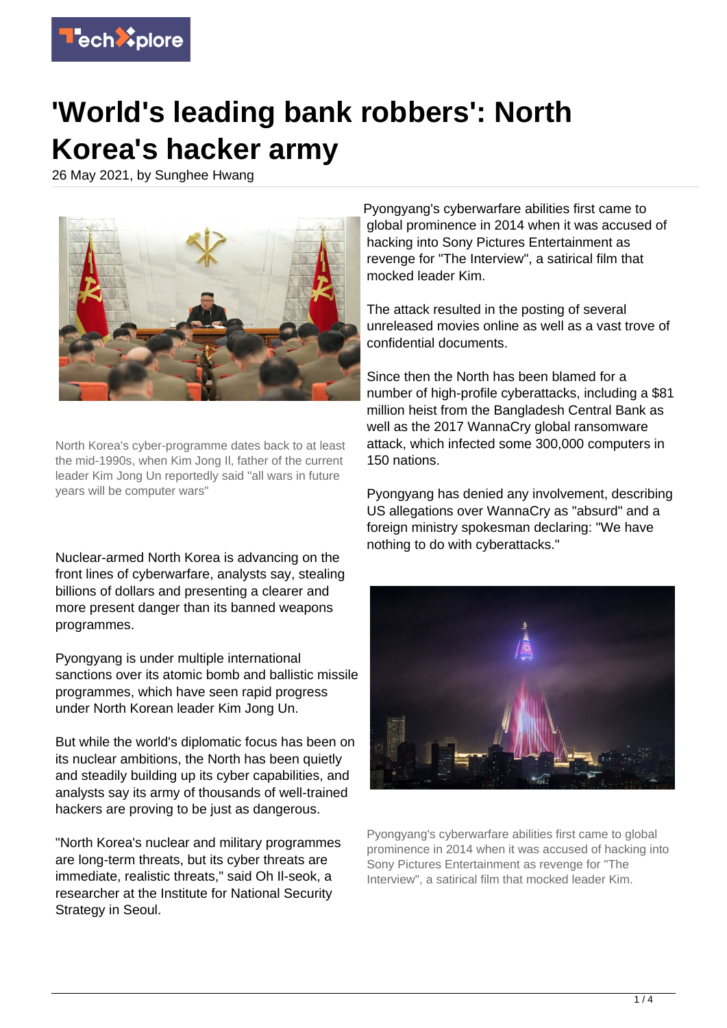

## **'World's leading bank robbers': North Korea's hacker army**

26 May 2021, by Sunghee Hwang



North Korea's cyber-programme dates back to at least the mid-1990s, when Kim Jong Il, father of the current leader Kim Jong Un reportedly said "all wars in future years will be computer wars"

Nuclear-armed North Korea is advancing on the front lines of cyberwarfare, analysts say, stealing billions of dollars and presenting a clearer and more present danger than its banned weapons programmes.

Pyongyang is under multiple international sanctions over its atomic bomb and ballistic missile programmes, which have seen rapid progress under North Korean leader Kim Jong Un.

But while the world's diplomatic focus has been on its nuclear ambitions, the North has been quietly and steadily building up its cyber capabilities, and analysts say its army of thousands of well-trained hackers are proving to be just as dangerous.

"North Korea's nuclear and military programmes are long-term threats, but its cyber threats are immediate, realistic threats," said Oh Il-seok, a researcher at the Institute for National Security Strategy in Seoul.

Pyongyang's cyberwarfare abilities first came to global prominence in 2014 when it was accused of hacking into Sony Pictures Entertainment as revenge for "The Interview", a satirical film that mocked leader Kim.

The attack resulted in the posting of several unreleased movies online as well as a vast trove of confidential documents.

Since then the North has been blamed for a number of high-profile cyberattacks, including a \$81 million heist from the Bangladesh Central Bank as well as the 2017 WannaCry global ransomware attack, which infected some 300,000 computers in 150 nations.

Pyongyang has denied any involvement, describing US allegations over WannaCry as "absurd" and a foreign ministry spokesman declaring: "We have nothing to do with cyberattacks."



Pyongyang's cyberwarfare abilities first came to global prominence in 2014 when it was accused of hacking into Sony Pictures Entertainment as revenge for "The Interview", a satirical film that mocked leader Kim.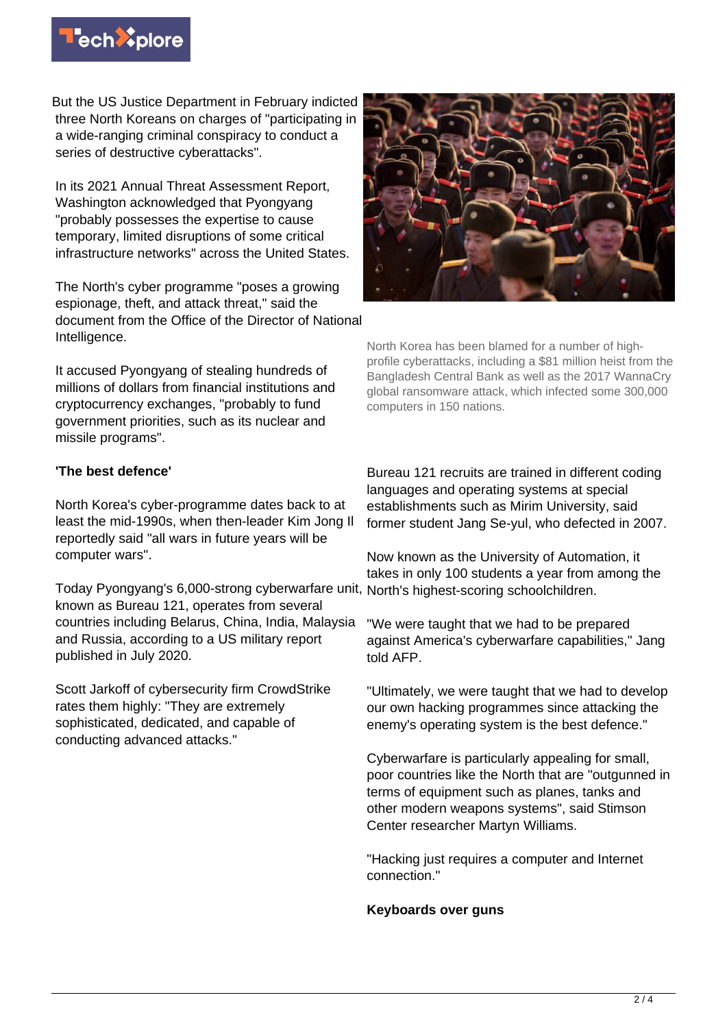

But the US Justice Department in February indicted three North Koreans on charges of "participating in a wide-ranging criminal conspiracy to conduct a series of destructive cyberattacks".

In its 2021 Annual Threat Assessment Report, Washington acknowledged that Pyongyang "probably possesses the expertise to cause temporary, limited disruptions of some critical infrastructure networks" across the United States.

The North's cyber programme "poses a growing espionage, theft, and attack threat," said the document from the Office of the Director of National Intelligence.

It accused Pyongyang of stealing hundreds of millions of dollars from financial institutions and cryptocurrency exchanges, "probably to fund government priorities, such as its nuclear and missile programs".



North Korea has been blamed for a number of highprofile cyberattacks, including a \$81 million heist from the Bangladesh Central Bank as well as the 2017 WannaCry global ransomware attack, which infected some 300,000 computers in 150 nations.

## **'The best defence'**

North Korea's cyber-programme dates back to at least the mid-1990s, when then-leader Kim Jong Il reportedly said "all wars in future years will be computer wars".

Today Pyongyang's 6,000-strong cyberwarfare unit, known as Bureau 121, operates from several countries including Belarus, China, India, Malaysia and Russia, according to a US military report published in July 2020.

Scott Jarkoff of cybersecurity firm CrowdStrike rates them highly: "They are extremely sophisticated, dedicated, and capable of conducting advanced attacks."

Bureau 121 recruits are trained in different coding languages and operating systems at special establishments such as Mirim University, said former student Jang Se-yul, who defected in 2007.

Now known as the University of Automation, it takes in only 100 students a year from among the North's highest-scoring schoolchildren.

"We were taught that we had to be prepared against America's cyberwarfare capabilities," Jang told AFP.

"Ultimately, we were taught that we had to develop our own hacking programmes since attacking the enemy's operating system is the best defence."

Cyberwarfare is particularly appealing for small, poor countries like the North that are "outgunned in terms of equipment such as planes, tanks and other modern weapons systems", said Stimson Center researcher Martyn Williams.

"Hacking just requires a computer and Internet connection."

## **Keyboards over guns**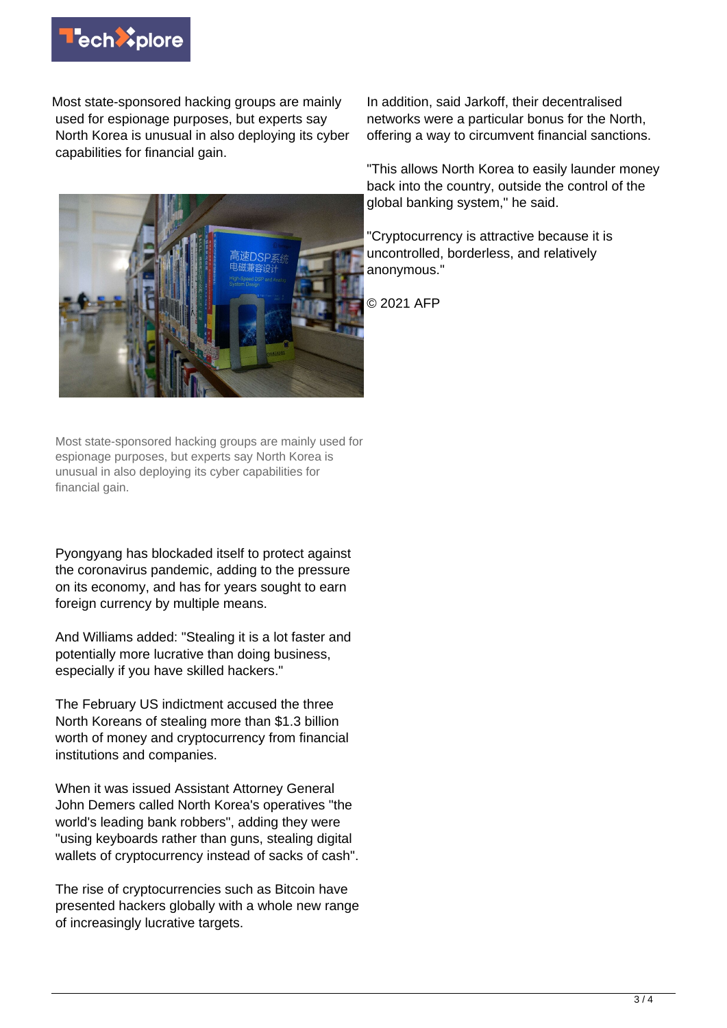

Most state-sponsored hacking groups are mainly used for espionage purposes, but experts say North Korea is unusual in also deploying its cyber capabilities for financial gain.



Most state-sponsored hacking groups are mainly used for espionage purposes, but experts say North Korea is unusual in also deploying its cyber capabilities for financial gain.

Pyongyang has blockaded itself to protect against the coronavirus pandemic, adding to the pressure on its economy, and has for years sought to earn foreign currency by multiple means.

And Williams added: "Stealing it is a lot faster and potentially more lucrative than doing business, especially if you have skilled hackers."

The February US indictment accused the three North Koreans of stealing more than \$1.3 billion worth of money and cryptocurrency from financial institutions and companies.

When it was issued Assistant Attorney General John Demers called North Korea's operatives "the world's leading bank robbers", adding they were "using keyboards rather than guns, stealing digital wallets of cryptocurrency instead of sacks of cash".

The rise of cryptocurrencies such as Bitcoin have presented hackers globally with a whole new range of increasingly lucrative targets.

In addition, said Jarkoff, their decentralised networks were a particular bonus for the North, offering a way to circumvent financial sanctions.

"This allows North Korea to easily launder money back into the country, outside the control of the global banking system," he said.

"Cryptocurrency is attractive because it is uncontrolled, borderless, and relatively anonymous."

© 2021 AFP